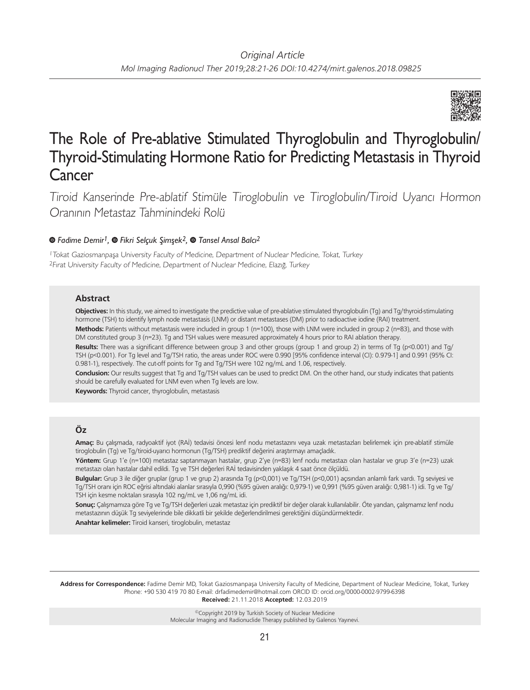

# The Role of Pre-ablative Stimulated Thyroglobulin and Thyroglobulin/ Thyroid-Stimulating Hormone Ratio for Predicting Metastasis in Thyroid Cancer

Tiroid Kanserinde Pre-ablatif Stimüle Tiroglobulin ve Tiroglobulin/Tiroid Uyarıcı Hormon Oranının Metastaz Tahminindeki Rolü

# *Fadime Demir1,Fikri Selçuk Şimşek2,Tansel Ansal Balcı2*

<sup>1</sup>Tokat Gaziosmanpaşa University Faculty of Medicine, Department of Nuclear Medicine, Tokat, Turkey <sup>2</sup>Fırat University Faculty of Medicine, Department of Nuclear Medicine, Elazığ, Turkey

#### **Abstract**

**Objectives:** In this study, we aimed to investigate the predictive value of pre-ablative stimulated thyroglobulin (Tg) and Tg/thyroid-stimulating hormone (TSH) to identify lymph node metastasis (LNM) or distant metastases (DM) prior to radioactive iodine (RAI) treatment.

**Methods:** Patients without metastasis were included in group 1 (n=100), those with LNM were included in group 2 (n=83), and those with DM constituted group 3 (n=23). Tg and TSH values were measured approximately 4 hours prior to RAI ablation therapy.

**Results:** There was a significant difference between group 3 and other groups (group 1 and group 2) in terms of Tg (p<0.001) and Tg/ TSH (p<0.001). For Tg level and Tg/TSH ratio, the areas under ROC were 0.990 [95% confidence interval (CI): 0.979-1] and 0.991 (95% CI: 0.981-1), respectively. The cut-off points for Tg and Tg/TSH were 102 ng/mL and 1.06, respectively.

**Conclusion:** Our results suggest that Tg and Tg/TSH values can be used to predict DM. On the other hand, our study indicates that patients should be carefully evaluated for LNM even when Tg levels are low.

**Keywords:** Thyroid cancer, thyroglobulin, metastasis

# **Öz**

**Amaç:** Bu çalışmada, radyoaktif iyot (RAİ) tedavisi öncesi lenf nodu metastazını veya uzak metastazları belirlemek için pre-ablatif stimüle tiroglobulin (Tg) ve Tg/tiroid-uyarıcı hormonun (Tg/TSH) prediktif değerini araştırmayı amaçladık.

**Yöntem:** Grup 1'e (n=100) metastaz saptanmayan hastalar, grup 2'ye (n=83) lenf nodu metastazı olan hastalar ve grup 3'e (n=23) uzak metastazı olan hastalar dahil edildi. Tg ve TSH değerleri RAİ tedavisinden yaklaşık 4 saat önce ölçüldü.

**Bulgular:** Grup 3 ile diğer gruplar (grup 1 ve grup 2) arasında Tg (p<0,001) ve Tg/TSH (p<0,001) açısından anlamlı fark vardı. Tg seviyesi ve Tg/TSH oranı için ROC eğrisi altındaki alanlar sırasıyla 0,990 (%95 güven aralığı: 0,979-1) ve 0,991 (%95 güven aralığı: 0,981-1) idi. Tg ve Tg/ TSH için kesme noktaları sırasıyla 102 ng/mL ve 1,06 ng/mL idi.

**Sonuç:** Çalışmamıza göre Tg ve Tg/TSH değerleri uzak metastaz için prediktif bir değer olarak kullanılabilir. Öte yandan, çalışmamız lenf nodu metastazının düşük Tg seviyelerinde bile dikkatli bir şekilde değerlendirilmesi gerektiğini düşündürmektedir.

**Anahtar kelimeler:** Tiroid kanseri, tiroglobulin, metastaz

**Address for Correspondence:** Fadime Demir MD, Tokat Gaziosmanpaşa University Faculty of Medicine, Department of Nuclear Medicine, Tokat, Turkey Phone: +90 530 419 70 80 E-mail: drfadimedemir@hotmail.com ORCID ID: orcid.org/0000-0002-9799-6398 **Received:** 21.11.2018 **Accepted:** 12.03.2019

> ©Copyright 2019 by Turkish Society of Nuclear Medicine Molecular Imaging and Radionuclide Therapy published by Galenos Yayınevi.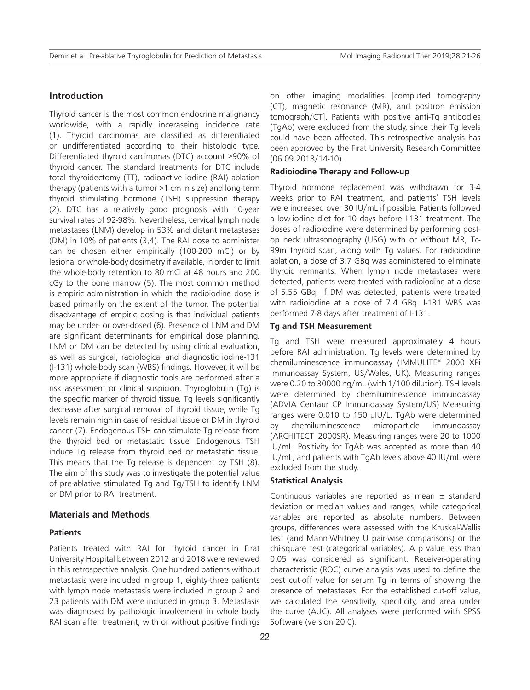# **Introduction**

Thyroid cancer is the most common endocrine malignancy worldwide, with a rapidly inceraseing incidence rate (1). Thyroid carcinomas are classified as differentiated or undifferentiated according to their histologic type. Differentiated thyroid carcinomas (DTC) account >90% of thyroid cancer. The standard treatments for DTC include total thyroidectomy (TT), radioactive iodine (RAI) ablation therapy (patients with a tumor >1 cm in size) and long-term thyroid stimulating hormone (TSH) suppression therapy (2). DTC has a relatively good prognosis with 10‑year survival rates of 92‑98%. Nevertheless, cervical lymph node metastases (LNM) develop in 53% and distant metastases (DM) in 10% of patients (3,4). The RAI dose to administer can be chosen either empirically (100-200 mCi) or by lesional or whole-body dosimetry if available, in order to limit the whole-body retention to 80 mCi at 48 hours and 200 cGy to the bone marrow (5). The most common method is empiric administration in which the radioiodine dose is based primarily on the extent of the tumor. The potential disadvantage of empiric dosing is that individual patients may be under- or over-dosed (6). Presence of LNM and DM are significant determinants for empirical dose planning. LNM or DM can be detected by using clinical evaluation, as well as surgical, radiological and diagnostic iodine-131 (I-131) whole-body scan (WBS) findings. However, it will be more appropriate if diagnostic tools are performed after a risk assessment or clinical suspicion. Thyroglobulin (Tg) is the specific marker of thyroid tissue. Tg levels significantly decrease after surgical removal of thyroid tissue, while Tg levels remain high in case of residual tissue or DM in thyroid cancer (7). Endogenous TSH can stimulate Tg release from the thyroid bed or metastatic tissue. Endogenous TSH induce Tg release from thyroid bed or metastatic tissue. This means that the Tg release is dependent by TSH (8). The aim of this study was to investigate the potential value of pre-ablative stimulated Tg and Tg/TSH to identify LNM or DM prior to RAI treatment.

#### **Materials and Methods**

## **Patients**

Patients treated with RAI for thyroid cancer in Fırat University Hospital between 2012 and 2018 were reviewed in this retrospective analysis. One hundred patients without metastasis were included in group 1, eighty-three patients with lymph node metastasis were included in group 2 and 23 patients with DM were included in group 3. Metastasis was diagnosed by pathologic involvement in whole body RAI scan after treatment, with or without positive findings on other imaging modalities [computed tomography (CT), magnetic resonance (MR), and positron emission tomograph/CT]. Patients with positive anti-Tg antibodies (TgAb) were excluded from the study, since their Tg levels could have been affected. This retrospective analysis has been approved by the Fırat University Research Committee (06.09.2018/14-10).

## **Radioiodine Therapy and Follow-up**

Thyroid hormone replacement was withdrawn for 3-4 weeks prior to RAI treatment, and patients' TSH levels were increased over 30 IU/mL if possible. Patients followed a low-iodine diet for 10 days before I-131 treatment. The doses of radioiodine were determined by performing postop neck ultrasonography (USG) with or without MR, Tc-99m thyroid scan, along with Tg values. For radioiodine ablation, a dose of 3.7 GBq was administered to eliminate thyroid remnants. When lymph node metastases were detected, patients were treated with radioiodine at a dose of 5.55 GBq. If DM was detected, patients were treated with radioiodine at a dose of 7.4 GBq. I-131 WBS was performed 7-8 days after treatment of I-131.

#### **Tg and TSH Measurement**

Tg and TSH were measured approximately 4 hours before RAI administration. Tg levels were determined by chemiluminescence immunoassay (IMMULITE® 2000 XPi Immunoassay System, US/Wales, UK). Measuring ranges were 0.20 to 30000 ng/mL (with 1/100 dilution). TSH levels were determined by chemiluminescence immunoassay (ADVIA Centaur CP Immunoassay System/US) Measuring ranges were 0.010 to 150 µIU/L. TgAb were determined by chemiluminescence microparticle immunoassay (ARCHITECT i2000SR). Measuring ranges were 20 to 1000 IU/mL. Positivity for TgAb was accepted as more than 40 IU/mL, and patients with TgAb levels above 40 IU/mL were excluded from the study.

#### **Statistical Analysis**

Continuous variables are reported as mean ± standard deviation or median values and ranges, while categorical variables are reported as absolute numbers. Between groups, differences were assessed with the Kruskal-Wallis test (and Mann-Whitney U pair-wise comparisons) or the chi-square test (categorical variables). A p value less than 0.05 was considered as significant. Receiver-operating characteristic (ROC) curve analysis was used to define the best cut-off value for serum Tg in terms of showing the presence of metastases. For the established cut-off value, we calculated the sensitivity, specificity, and area under the curve (AUC). All analyses were performed with SPSS Software (version 20.0).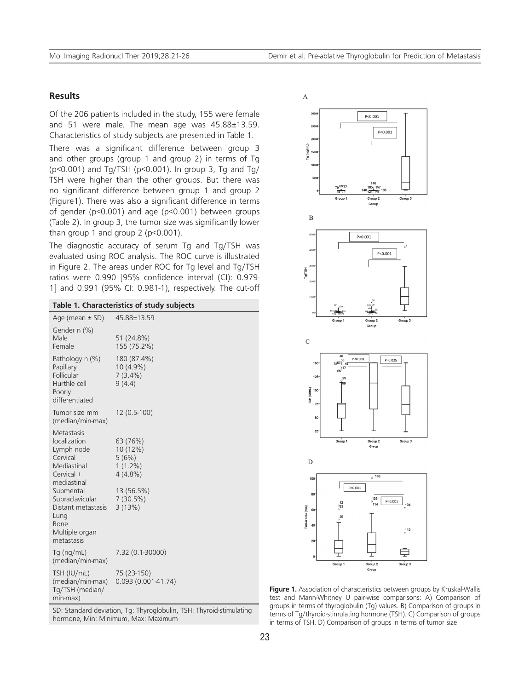# **Results**

Of the 206 patients included in the study, 155 were female and 51 were male. The mean age was 45.88±13.59. Characteristics of study subjects are presented in Table 1.

There was a significant difference between group 3 and other groups (group 1 and group 2) in terms of Tg ( $p$ <0.001) and Tg/TSH ( $p$ <0.001). In group 3, Tg and Tg/ TSH were higher than the other groups. But there was no significant difference between group 1 and group 2 (Figure1). There was also a significant difference in terms of gender (p<0.001) and age (p<0.001) between groups (Table 2). In group 3, the tumor size was significantly lower than group 1 and group 2 ( $p$ <0.001).

The diagnostic accuracy of serum Tg and Tg/TSH was evaluated using ROC analysis. The ROC curve is illustrated in Figure 2. The areas under ROC for Tg level and Tg/TSH ratios were 0.990 [95% confidence interval (CI): 0.979- 1] and 0.991 (95% CI: 0.981-1), respectively. The cut-off

| Table 1. Characteristics of study subjects                                                                                                                                                             |                                                                                               |  |  |  |  |  |  |
|--------------------------------------------------------------------------------------------------------------------------------------------------------------------------------------------------------|-----------------------------------------------------------------------------------------------|--|--|--|--|--|--|
| Age (mean $\pm$ SD)                                                                                                                                                                                    | 45.88±13.59                                                                                   |  |  |  |  |  |  |
| Gender n (%)<br>Male<br>Female                                                                                                                                                                         | 51 (24.8%)<br>155 (75.2%)                                                                     |  |  |  |  |  |  |
| Pathology n (%)<br>Papillary<br>Follicular<br>Hurthle cell<br>Poorly<br>differentiated                                                                                                                 | 180 (87.4%)<br>10 (4.9%)<br>$7(3.4\%)$<br>9(4.4)                                              |  |  |  |  |  |  |
| Tumor size mm<br>(median/min-max)                                                                                                                                                                      | 12 (0.5-100)                                                                                  |  |  |  |  |  |  |
| Metastasis<br>localization<br>Lymph node<br>Cervical<br>Mediastinal<br>Cervical +<br>mediastinal<br>Submental<br>Supraclavicular<br>Distant metastasis<br>Lung<br>Bone<br>Multiple organ<br>metastasis | 63 (76%)<br>10 (12%)<br>5(6%)<br>$1(1.2\%)$<br>$4(4.8\%)$<br>13 (56.5%)<br>7(30.5%)<br>3(13%) |  |  |  |  |  |  |
| Tg (ng/mL)<br>(median/min-max)                                                                                                                                                                         | 7.32 (0.1-30000)                                                                              |  |  |  |  |  |  |
| TSH (IU/mL)<br>(median/min-max)<br>Tg/TSH (median/<br>min-max)                                                                                                                                         | 75 (23-150)<br>$0.093(0.001-41.74)$                                                           |  |  |  |  |  |  |

SD: Standard deviation, Tg: Thyroglobulin, TSH: Thyroid-stimulating hormone, Min: Minimum, Max: Maximum



**Figure 1.** Association of characteristics between groups by Kruskal-Wallis test and Mann-Whitney U pair-wise comparisons: A) Comparison of groups in terms of thyroglobulin (Tg) values. B) Comparison of groups in terms of Tg/thyroid-stimulating hormone (TSH). C) Comparison of groups in terms of TSH. D) Comparison of groups in terms of tumor size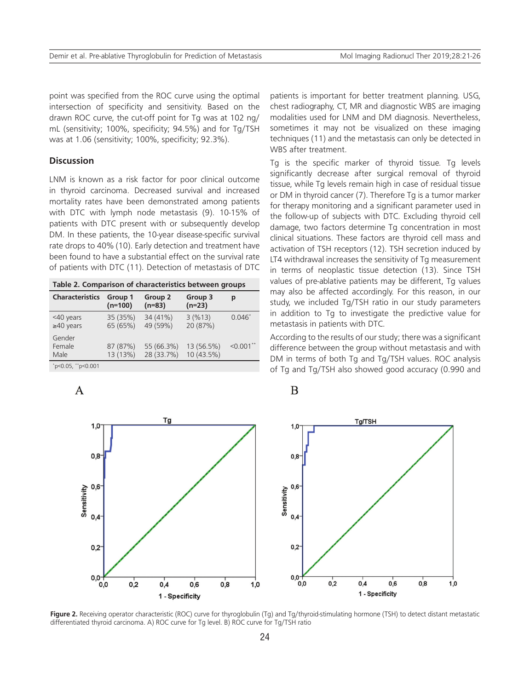point was specified from the ROC curve using the optimal intersection of specificity and sensitivity. Based on the drawn ROC curve, the cut-off point for Tg was at 102 ng/ mL (sensitivity; 100%, specificity; 94.5%) and for Tg/TSH was at 1.06 (sensitivity; 100%, specificity; 92.3%).

# **Discussion**

LNM is known as a risk factor for poor clinical outcome in thyroid carcinoma. Decreased survival and increased mortality rates have been demonstrated among patients with DTC with lymph node metastasis (9). 10-15% of patients with DTC present with or subsequently develop DM. In these patients, the 10-year disease-specific survival rate drops to 40% (10). Early detection and treatment have been found to have a substantial effect on the survival rate of patients with DTC (11). Detection of metastasis of DTC

|  |  |  |  | Table 2. Comparison of characteristics between groups |  |  |
|--|--|--|--|-------------------------------------------------------|--|--|
|--|--|--|--|-------------------------------------------------------|--|--|

| <b>Characteristics</b>                                          | Group 1<br>$(n=100)$ | Group 2<br>$(n=83)$      | Group 3<br>$(n=23)$      | р                       |
|-----------------------------------------------------------------|----------------------|--------------------------|--------------------------|-------------------------|
| <40 years<br>$\geq 40$ years                                    | 35 (35%)<br>65 (65%) | 34 (41%)<br>49 (59%)     | 3(%13)<br>20 (87%)       | $0.046*$                |
| Gender<br>Female<br>Male                                        | 87 (87%)<br>13 (13%) | 55 (66.3%)<br>28 (33.7%) | 13 (56.5%)<br>10 (43.5%) | $< 0.001$ <sup>**</sup> |
| $*_{-2}$ $\cap$ $\cap$ $\Gamma$ $*_{-2}$ $\cap$ $\cap$ $\cap$ 1 |                      |                          |                          |                         |

\* p<0.05, \*\*p<0.001

 $\mathsf{A}$ 

patients is important for better treatment planning. USG, chest radiography, CT, MR and diagnostic WBS are imaging modalities used for LNM and DM diagnosis. Nevertheless, sometimes it may not be visualized on these imaging techniques (11) and the metastasis can only be detected in WBS after treatment.

Tg is the specific marker of thyroid tissue. Tg levels significantly decrease after surgical removal of thyroid tissue, while Tg levels remain high in case of residual tissue or DM in thyroid cancer (7). Therefore Tg is a tumor marker for therapy monitoring and a significant parameter used in the follow-up of subjects with DTC. Excluding thyroid cell damage, two factors determine Tg concentration in most clinical situations. These factors are thyroid cell mass and activation of TSH receptors (12). TSH secretion induced by LT4 withdrawal increases the sensitivity of Tg measurement in terms of neoplastic tissue detection (13). Since TSH values of pre-ablative patients may be different, Tg values may also be affected accordingly. For this reason, in our study, we included Tg/TSH ratio in our study parameters in addition to Tg to investigate the predictive value for metastasis in patients with DTC.

According to the results of our study; there was a significant difference between the group without metastasis and with DM in terms of both Tg and Tg/TSH values. ROC analysis of Tg and Tg/TSH also showed good accuracy (0.990 and



B

**Figure 2.** Receiving operator characteristic (ROC) curve for thyroglobulin (Tg) and Tg/thyroid-stimulating hormone (TSH) to detect distant metastatic differentiated thyroid carcinoma. A) ROC curve for Tg level. B) ROC curve for Tg/TSH ratio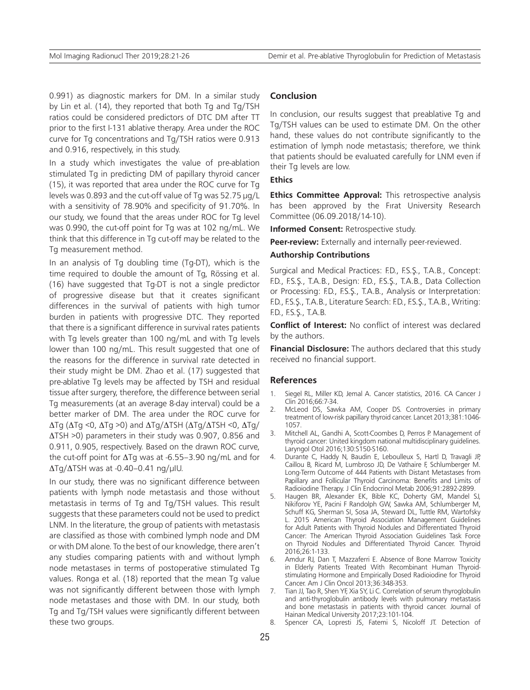0.991) as diagnostic markers for DM. In a similar study by Lin et al. (14), they reported that both Tg and Tg/TSH ratios could be considered predictors of DTC DM after TT prior to the first I-131 ablative therapy. Area under the ROC curve for Tg concentrations and Tg/TSH ratios were 0.913 and 0.916, respectively, in this study.

In a study which investigates the value of pre-ablation stimulated Tg in predicting DM of papillary thyroid cancer (15), it was reported that area under the ROC curve for Tg levels was 0.893 and the cut-off value of Tg was 52.75 μg/L with a sensitivity of 78.90% and specificity of 91.70%. In our study, we found that the areas under ROC for Tg level was 0.990, the cut-off point for Tg was at 102 ng/mL. We think that this difference in Tg cut-off may be related to the Tg measurement method.

In an analysis of Tg doubling time (Tg-DT), which is the time required to double the amount of Tg, Rössing et al. (16) have suggested that Tg-DT is not a single predictor of progressive disease but that it creates significant differences in the survival of patients with high tumor burden in patients with progressive DTC. They reported that there is a significant difference in survival rates patients with Tg levels greater than 100 ng/mL and with Tg levels lower than 100 ng/mL. This result suggested that one of the reasons for the difference in survival rate detected in their study might be DM. Zhao et al. (17) suggested that pre-ablative Tg levels may be affected by TSH and residual tissue after surgery, therefore, the difference between serial Tg measurements (at an average 8-day interval) could be a better marker of DM. The area under the ROC curve for ΔTg (ΔTg <0, ΔTg >0) and ΔTg/ΔTSH (ΔTg/ΔTSH <0, ΔTg/ ΔTSH >0) parameters in their study was 0.907, 0.856 and 0.911, 0.905, respectively. Based on the drawn ROC curve, the cut-off point for  $\Delta Tg$  was at -6.55–3.90 ng/mL and for  $\Delta$ Tg/ $\Delta$ TSH was at -0.40–0.41 ng/μIU.

In our study, there was no significant difference between patients with lymph node metastasis and those without metastasis in terms of Tg and Tg/TSH values. This result suggests that these parameters could not be used to predict LNM. In the literature, the group of patients with metastasis are classified as those with combined lymph node and DM or with DM alone. To the best of our knowledge, there aren't any studies comparing patients with and without lymph node metastases in terms of postoperative stimulated Tg values. Ronga et al. (18) reported that the mean Tg value was not significantly different between those with lymph node metastases and those with DM. In our study, both Tg and Tg/TSH values were significantly different between these two groups.

## **Conclusion**

In conclusion, our results suggest that preablative Tg and Tg/TSH values can be used to estimate DM. On the other hand, these values do not contribute significantly to the estimation of lymph node metastasis; therefore, we think that patients should be evaluated carefully for LNM even if their Tg levels are low.

## **Ethics**

**Ethics Committee Approval:** This retrospective analysis has been approved by the Fırat University Research Committee (06.09.2018/14-10).

**Informed Consent:** Retrospective study.

**Peer-review:** Externally and internally peer-reviewed.

#### **Authorship Contributions**

Surgical and Medical Practices: F.D., F.S.S., T.A.B., Concept: F.D., F.S.Ş., T.A.B., Design: F.D., F.S.Ş., T.A.B., Data Collection or Processing: F.D., F.S.Ş., T.A.B., Analysis or Interpretation: F.D., F.S.Ş., T.A.B., Literature Search: F.D., F.S.Ş., T.A.B., Writing: F.D., F.S.Ş., T.A.B.

**Conflict of Interest:** No conflict of interest was declared by the authors.

**Financial Disclosure:** The authors declared that this study received no financial support.

## **References**

- 1. Siegel RL, Miller KD, Jemal A. Cancer statistics, 2016. CA Cancer J Clin 2016;66:7-34.
- 2. McLeod DS, Sawka AM, Cooper DS. Controversies in primary treatment of low-risk papillary thyroid cancer. Lancet 2013;381:1046- 1057.
- 3. Mitchell AL, Gandhi A, Scott-Coombes D, Perros P. Management of thyroid cancer: United kingdom national multidisciplinary guidelines. Laryngol Otol 2016;130:S150-S160.
- 4. Durante C, Haddy N, Baudin E, Leboulleux S, Hartl D, Travagli JP, Caillou B, Ricard M, Lumbroso JD, De Vathaire F, Schlumberger M. Long-Term Outcome of 444 Patients with Distant Metastases from Papillary and Follicular Thyroid Carcinoma: Benefits and Limits of Radioiodine Therapy. J Clin Endocrinol Metab 2006;91:2892-2899.
- 5. Haugen BR, Alexander EK, Bible KC, Doherty GM, Mandel SJ, Nikiforov YE, Pacini F Randolph GW, Sawka AM, Schlumberger M, Schuff KG, Sherman SI, Sosa JA, Steward DL, Tuttle RM, Wartofsky L. 2015 American Thyroid Association Management Guidelines for Adult Patients with Thyroid Nodules and Differentiated Thyroid Cancer: The American Thyroid Association Guidelines Task Force on Thyroid Nodules and Differentiated Thyroid Cancer. Thyroid 2016;26:1-133.
- 6. Amdur RJ, Dan T, Mazzaferri E. Absence of Bone Marrow Toxicity in Elderly Patients Treated With Recombinant Human Thyroidstimulating Hormone and Empirically Dosed Radioiodine for Thyroid Cancer. Am J Clin Oncol 2013;36:348-353.
- Tian JJ, Tao R, Shen YF, Xia SY, Li C. Correlation of serum thyroglobulin and anti-thyroglobulin antibody levels with pulmonary metastasis and bone metastasis in patients with thyroid cancer. Journal of Hainan Medical University 2017;23:101-104.
- 8. Spencer CA, Lopresti JS, Fatemi S, Nicoloff JT. Detection of